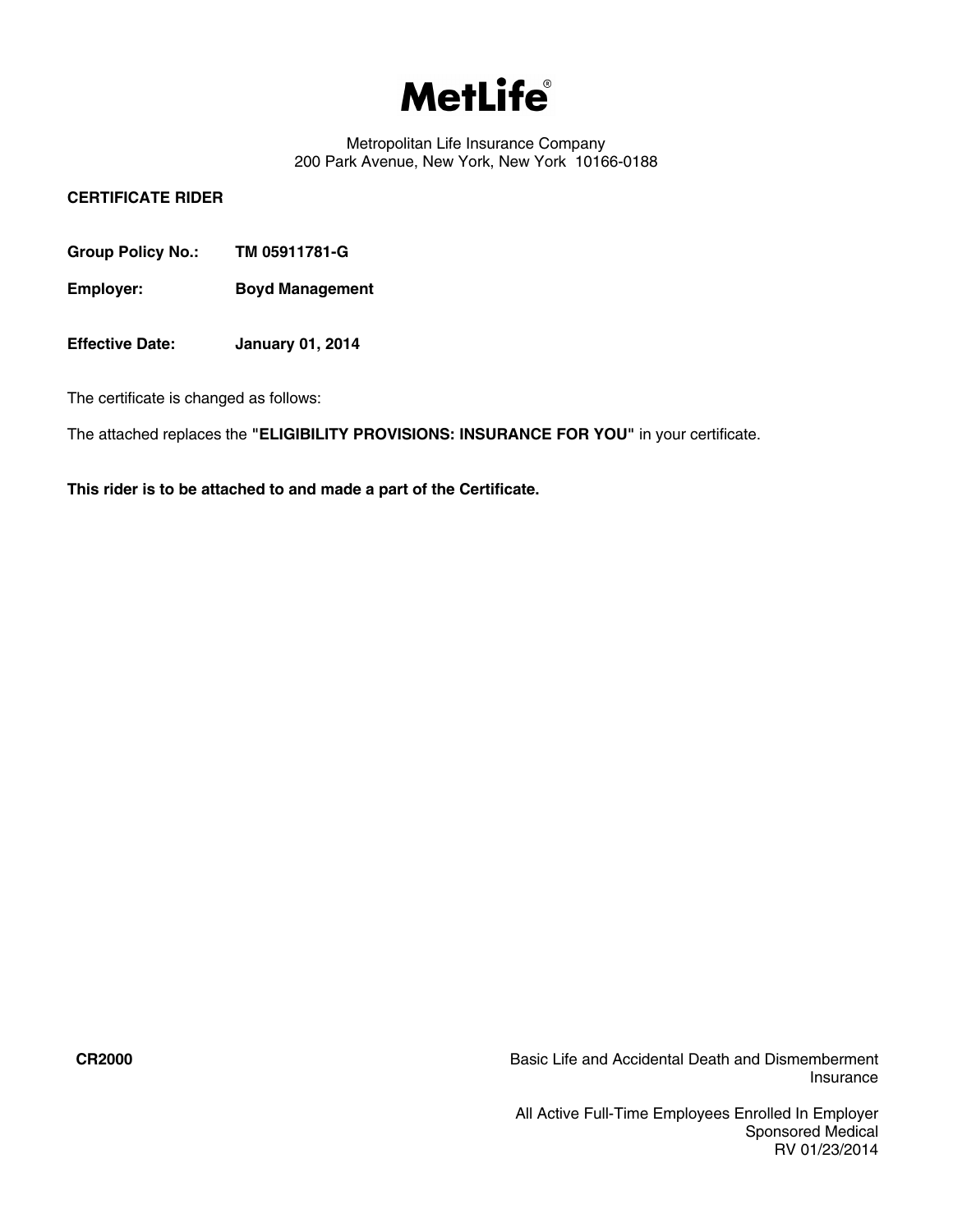# **MetLife**

Metropolitan Life Insurance Company 200 Park Avenue, New York, New York 10166-0188

# **CERTIFICATE RIDER**

- **Group Policy No.: TM 05911781-G**
- **Employer: Boyd Management**
- **Effective Date: January 01, 2014**

The certificate is changed as follows:

The attached replaces the **"ELIGIBILITY PROVISIONS: INSURANCE FOR YOU"** in your certificate.

**This rider is to be attached to and made a part of the Certificate.**

**CR2000** Basic Life and Accidental Death and Dismemberment Insurance

> All Active Full-Time Employees Enrolled In Employer Sponsored Medical RV 01/23/2014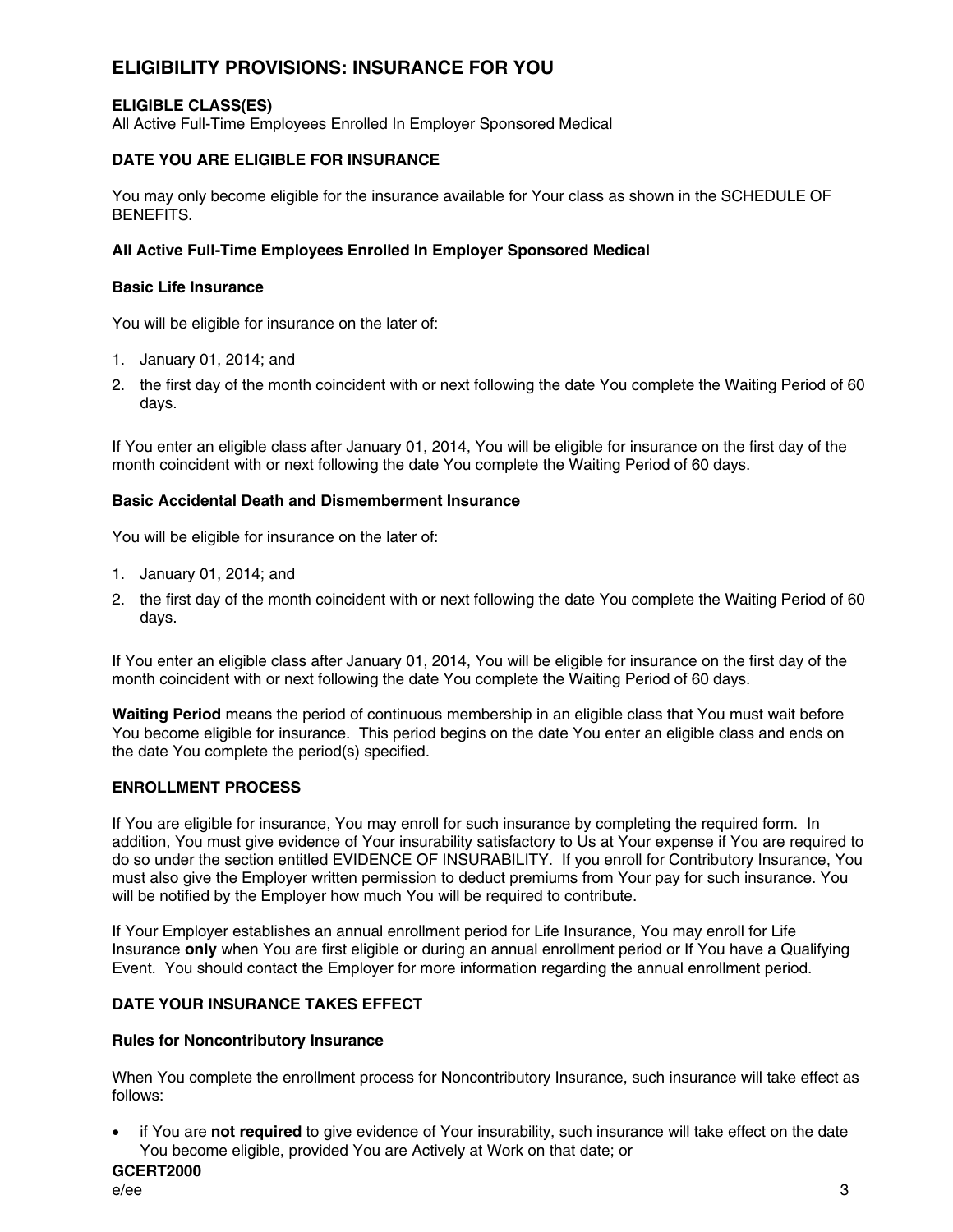# **ELIGIBILITY PROVISIONS: INSURANCE FOR YOU**

# **ELIGIBLE CLASS(ES)**

All Active Full-Time Employees Enrolled In Employer Sponsored Medical

## **DATE YOU ARE ELIGIBLE FOR INSURANCE**

You may only become eligible for the insurance available for Your class as shown in the SCHEDULE OF BENEFITS.

#### **All Active Full-Time Employees Enrolled In Employer Sponsored Medical**

#### **Basic Life Insurance**

You will be eligible for insurance on the later of:

- 1. January 01, 2014; and
- 2. the first day of the month coincident with or next following the date You complete the Waiting Period of 60 days.

If You enter an eligible class after January 01, 2014, You will be eligible for insurance on the first day of the month coincident with or next following the date You complete the Waiting Period of 60 days.

#### **Basic Accidental Death and Dismemberment Insurance**

You will be eligible for insurance on the later of:

- 1. January 01, 2014; and
- 2. the first day of the month coincident with or next following the date You complete the Waiting Period of 60 days.

If You enter an eligible class after January 01, 2014, You will be eligible for insurance on the first day of the month coincident with or next following the date You complete the Waiting Period of 60 days.

**Waiting Period** means the period of continuous membership in an eligible class that You must wait before You become eligible for insurance. This period begins on the date You enter an eligible class and ends on the date You complete the period(s) specified.

#### **ENROLLMENT PROCESS**

If You are eligible for insurance, You may enroll for such insurance by completing the required form. In addition, You must give evidence of Your insurability satisfactory to Us at Your expense if You are required to do so under the section entitled EVIDENCE OF INSURABILITY. If you enroll for Contributory Insurance, You must also give the Employer written permission to deduct premiums from Your pay for such insurance. You will be notified by the Employer how much You will be required to contribute.

If Your Employer establishes an annual enrollment period for Life Insurance, You may enroll for Life Insurance **only** when You are first eligible or during an annual enrollment period or If You have a Qualifying Event. You should contact the Employer for more information regarding the annual enrollment period.

#### **DATE YOUR INSURANCE TAKES EFFECT**

#### **Rules for Noncontributory Insurance**

When You complete the enrollment process for Noncontributory Insurance, such insurance will take effect as follows:

· if You are **not required** to give evidence of Your insurability, such insurance will take effect on the date You become eligible, provided You are Actively at Work on that date; or

# **GCERT2000**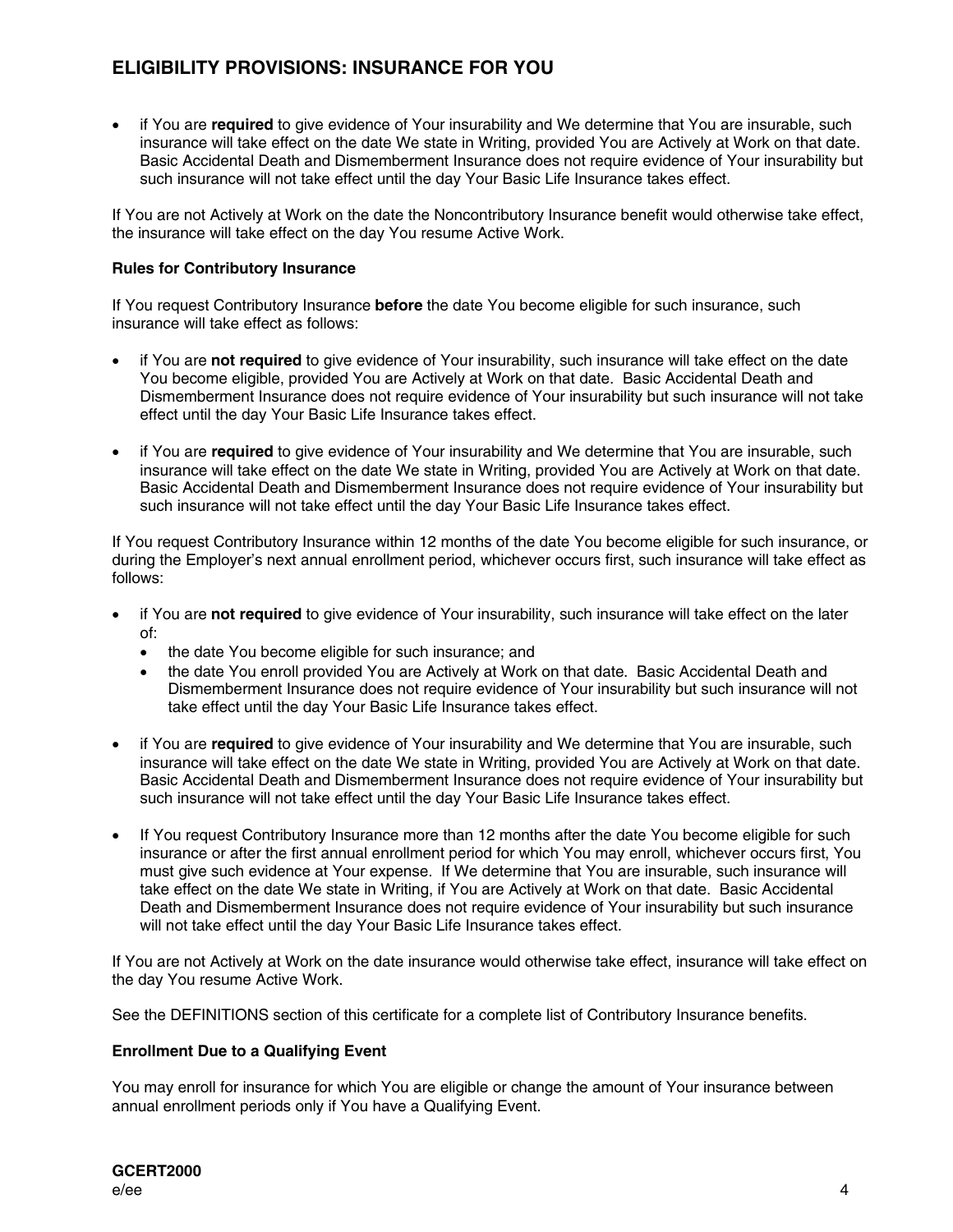# **ELIGIBILITY PROVISIONS: INSURANCE FOR YOU**

· if You are **required** to give evidence of Your insurability and We determine that You are insurable, such insurance will take effect on the date We state in Writing, provided You are Actively at Work on that date. Basic Accidental Death and Dismemberment Insurance does not require evidence of Your insurability but such insurance will not take effect until the day Your Basic Life Insurance takes effect.

If You are not Actively at Work on the date the Noncontributory Insurance benefit would otherwise take effect, the insurance will take effect on the day You resume Active Work.

## **Rules for Contributory Insurance**

If You request Contributory Insurance **before** the date You become eligible for such insurance, such insurance will take effect as follows:

- · if You are **not required** to give evidence of Your insurability, such insurance will take effect on the date You become eligible, provided You are Actively at Work on that date. Basic Accidental Death and Dismemberment Insurance does not require evidence of Your insurability but such insurance will not take effect until the day Your Basic Life Insurance takes effect.
- · if You are **required** to give evidence of Your insurability and We determine that You are insurable, such insurance will take effect on the date We state in Writing, provided You are Actively at Work on that date. Basic Accidental Death and Dismemberment Insurance does not require evidence of Your insurability but such insurance will not take effect until the day Your Basic Life Insurance takes effect.

If You request Contributory Insurance within 12 months of the date You become eligible for such insurance, or during the Employer's next annual enrollment period, whichever occurs first, such insurance will take effect as follows:

- · if You are **not required** to give evidence of Your insurability, such insurance will take effect on the later of:
	- the date You become eligible for such insurance; and
	- the date You enroll provided You are Actively at Work on that date. Basic Accidental Death and Dismemberment Insurance does not require evidence of Your insurability but such insurance will not take effect until the day Your Basic Life Insurance takes effect.
- · if You are **required** to give evidence of Your insurability and We determine that You are insurable, such insurance will take effect on the date We state in Writing, provided You are Actively at Work on that date. Basic Accidental Death and Dismemberment Insurance does not require evidence of Your insurability but such insurance will not take effect until the day Your Basic Life Insurance takes effect.
- If You request Contributory Insurance more than 12 months after the date You become eligible for such insurance or after the first annual enrollment period for which You may enroll, whichever occurs first, You must give such evidence at Your expense. If We determine that You are insurable, such insurance will take effect on the date We state in Writing, if You are Actively at Work on that date. Basic Accidental Death and Dismemberment Insurance does not require evidence of Your insurability but such insurance will not take effect until the day Your Basic Life Insurance takes effect.

If You are not Actively at Work on the date insurance would otherwise take effect, insurance will take effect on the day You resume Active Work.

See the DEFINITIONS section of this certificate for a complete list of Contributory Insurance benefits.

#### **Enrollment Due to a Qualifying Event**

You may enroll for insurance for which You are eligible or change the amount of Your insurance between annual enrollment periods only if You have a Qualifying Event.